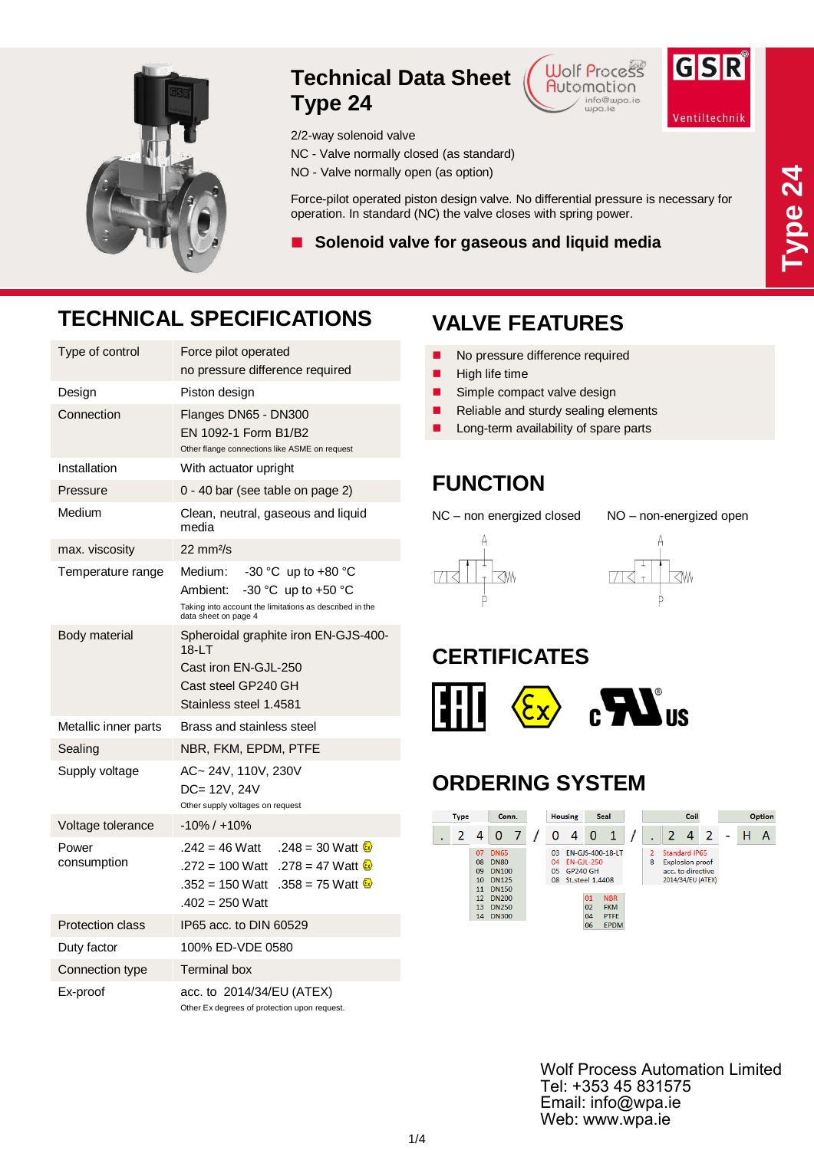

#### **Technical Data Sheet Type 24**

NC - Valve normally closed (as standard) NO - Valve normally open (as option)

2/2-way solenoid valve





Ventiltechnik

# **TECHNICAL SPECIFICATIONS**

| Type of control         | Force pilot operated<br>no pressure difference required                                                                                                  |  |  |  |  |  |  |
|-------------------------|----------------------------------------------------------------------------------------------------------------------------------------------------------|--|--|--|--|--|--|
| Design                  | Piston design                                                                                                                                            |  |  |  |  |  |  |
| Connection              | Flanges DN65 - DN300<br>EN 1092-1 Form B1/B2<br>Other flange connections like ASME on request                                                            |  |  |  |  |  |  |
| Installation            | With actuator upright                                                                                                                                    |  |  |  |  |  |  |
| Pressure                | 0 - 40 bar (see table on page 2)                                                                                                                         |  |  |  |  |  |  |
| Medium                  | Clean, neutral, gaseous and liquid<br>media                                                                                                              |  |  |  |  |  |  |
| max. viscosity          | 22 mm <sup>2</sup> /s                                                                                                                                    |  |  |  |  |  |  |
| Temperature range       | -30 °C up to +80 °C<br>Medium:<br>Ambient:<br>$-30$ °C up to $+50$ °C<br>Taking into account the limitations as described in the<br>data sheet on page 4 |  |  |  |  |  |  |
| Body material           | Spheroidal graphite iron EN-GJS-400-<br>18-LT<br>Cast iron EN-GJL-250<br>Cast steel GP240 GH<br>Stainless steel 1.4581                                   |  |  |  |  |  |  |
| Metallic inner parts    | Brass and stainless steel                                                                                                                                |  |  |  |  |  |  |
| Sealing                 | NBR, FKM, EPDM, PTFE                                                                                                                                     |  |  |  |  |  |  |
| Supply voltage          | AC~24V, 110V, 230V<br>DC= 12V, 24V<br>Other supply voltages on request                                                                                   |  |  |  |  |  |  |
| Voltage tolerance       | $-10\% / +10\%$                                                                                                                                          |  |  |  |  |  |  |
| Power<br>consumption    | $.242 = 46$ Watt<br>.248 = 30 Watt $\&$<br>$.272 = 100$ Watt<br>.278 = 47 Watt $\&$<br>.358 = 75 Watt $\omega$<br>.352 = 150 Watt<br>$.402 = 250$ Watt   |  |  |  |  |  |  |
| <b>Protection class</b> | IP65 acc. to DIN 60529                                                                                                                                   |  |  |  |  |  |  |
| Duty factor             | 100% ED-VDE 0580                                                                                                                                         |  |  |  |  |  |  |
| Connection type         | <b>Terminal box</b>                                                                                                                                      |  |  |  |  |  |  |
| Ex-proof                | acc. to 2014/34/EU (ATEX)<br>Other Ex degrees of protection upon request.                                                                                |  |  |  |  |  |  |

# **VALVE FEATURES**

Force-pilot operated piston design valve. No differential pressure is necessary for

- No pressure difference required
- $\blacksquare$  High life time

operation. In standard (NC) the valve closes with spring power.

**Solenoid valve for gaseous and liquid media**

- Simple compact valve design
- Reliable and sturdy sealing elements
- Long-term availability of spare parts

### **FUNCTION**

NC – non energized closed NO – non-energized open





## **CERTIFICATES**



## **ORDERING SYSTEM**



Wolf Process Automation Limited Tel: +353 45 831575 Email: info@wpa.ie Web: www.wpa.ie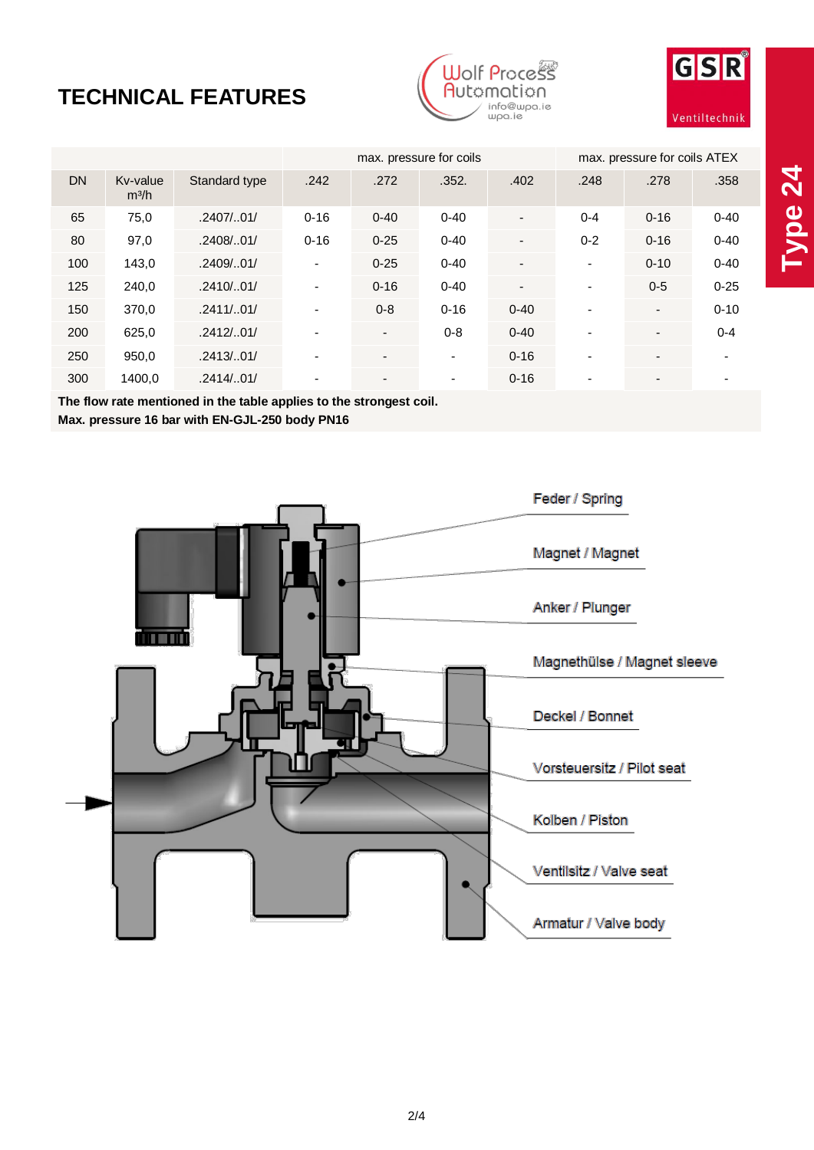# **TECHNICAL FEATURES**





|           |                               |               |                          | max. pressure for coils  |                          | max. pressure for coils ATEX |                          |                          |          |
|-----------|-------------------------------|---------------|--------------------------|--------------------------|--------------------------|------------------------------|--------------------------|--------------------------|----------|
| <b>DN</b> | Kv-value<br>m <sup>3</sup> /h | Standard type | .242                     | .272                     | .352.                    | .402                         | .248                     | .278                     | .358     |
| 65        | 75,0                          | .2407/0.01/   | $0 - 16$                 | $0 - 40$                 | $0 - 40$                 | $\qquad \qquad \blacksquare$ | $0 - 4$                  | $0 - 16$                 | $0 - 40$ |
| 80        | 97,0                          | .2408/.01/    | $0 - 16$                 | $0 - 25$                 | $0 - 40$                 | $\qquad \qquad \blacksquare$ | $0 - 2$                  | $0 - 16$                 | $0 - 40$ |
| 100       | 143,0                         | .2409/.01/    | $\blacksquare$           | $0 - 25$                 | $0 - 40$                 | $\overline{\phantom{0}}$     | $\overline{\phantom{a}}$ | $0 - 10$                 | $0 - 40$ |
| 125       | 240,0                         | .2410/.01/    | $\blacksquare$           | $0 - 16$                 | $0 - 40$                 | $\overline{\phantom{0}}$     | $\overline{\phantom{a}}$ | $0 - 5$                  | $0 - 25$ |
| 150       | 370,0                         | .2411/.01/    | $\overline{\phantom{a}}$ | $0 - 8$                  | $0 - 16$                 | $0 - 40$                     | $\blacksquare$           | $\overline{\phantom{a}}$ | $0 - 10$ |
| 200       | 625,0                         | .2412/0.01/   |                          | $\blacksquare$           | $0 - 8$                  | $0 - 40$                     | ۰                        | $\overline{\phantom{a}}$ | $0 - 4$  |
| 250       | 950,0                         | .2413/0.01/   | $\overline{\phantom{0}}$ | $\blacksquare$           | $\overline{\phantom{a}}$ | $0 - 16$                     | $\overline{\phantom{a}}$ | $\blacksquare$           | ٠        |
| 300       | 1400,0                        | .2414/.01/    | ۰                        | $\overline{\phantom{0}}$ | $\overline{\phantom{a}}$ | $0 - 16$                     | ۰                        | ٠                        | ۰        |

**The flow rate mentioned in the table applies to the strongest coil. Max. pressure 16 bar with EN-GJL-250 body PN16**

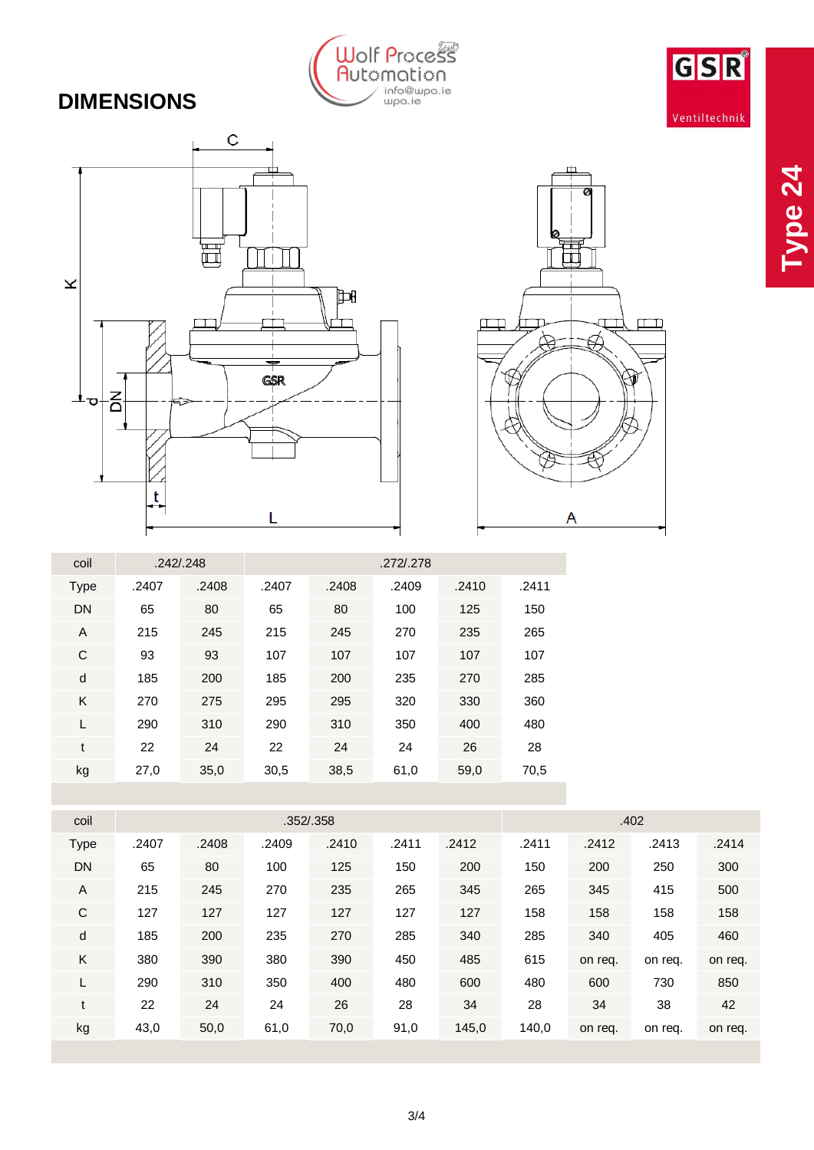

# **DIMENSIONS**





| coil        | .242/0.248 |       |       |       |       |       |       |
|-------------|------------|-------|-------|-------|-------|-------|-------|
| <b>Type</b> | .2407      | .2408 | .2407 | .2408 | .2409 | .2410 | .2411 |
| <b>DN</b>   | 65         | 80    | 65    | 80    | 100   | 125   | 150   |
| A           | 215        | 245   | 215   | 245   | 270   | 235   | 265   |
| C           | 93         | 93    | 107   | 107   | 107   | 107   | 107   |
| d           | 185        | 200   | 185   | 200   | 235   | 270   | 285   |
| K           | 270        | 275   | 295   | 295   | 320   | 330   | 360   |
| L           | 290        | 310   | 290   | 310   | 350   | 400   | 480   |
| t           | 22         | 24    | 22    | 24    | 24    | 26    | 28    |
| kg          | 27,0       | 35,0  | 30,5  | 38,5  | 61,0  | 59,0  | 70,5  |

| coil        | .352/.358 |       |       |       |       |       | .402  |         |         |         |
|-------------|-----------|-------|-------|-------|-------|-------|-------|---------|---------|---------|
| <b>Type</b> | .2407     | .2408 | .2409 | .2410 | .2411 | .2412 | .2411 | .2412   | .2413   | .2414   |
| DN          | 65        | 80    | 100   | 125   | 150   | 200   | 150   | 200     | 250     | 300     |
| A           | 215       | 245   | 270   | 235   | 265   | 345   | 265   | 345     | 415     | 500     |
| C           | 127       | 127   | 127   | 127   | 127   | 127   | 158   | 158     | 158     | 158     |
| d           | 185       | 200   | 235   | 270   | 285   | 340   | 285   | 340     | 405     | 460     |
| Κ           | 380       | 390   | 380   | 390   | 450   | 485   | 615   | on req. | on req. | on req. |
| L           | 290       | 310   | 350   | 400   | 480   | 600   | 480   | 600     | 730     | 850     |
| t           | 22        | 24    | 24    | 26    | 28    | 34    | 28    | 34      | 38      | 42      |
| kg          | 43,0      | 50,0  | 61,0  | 70,0  | 91,0  | 145,0 | 140,0 | on req. | on req. | on req. |
|             |           |       |       |       |       |       |       |         |         |         |

GSR

Ventiltechnik